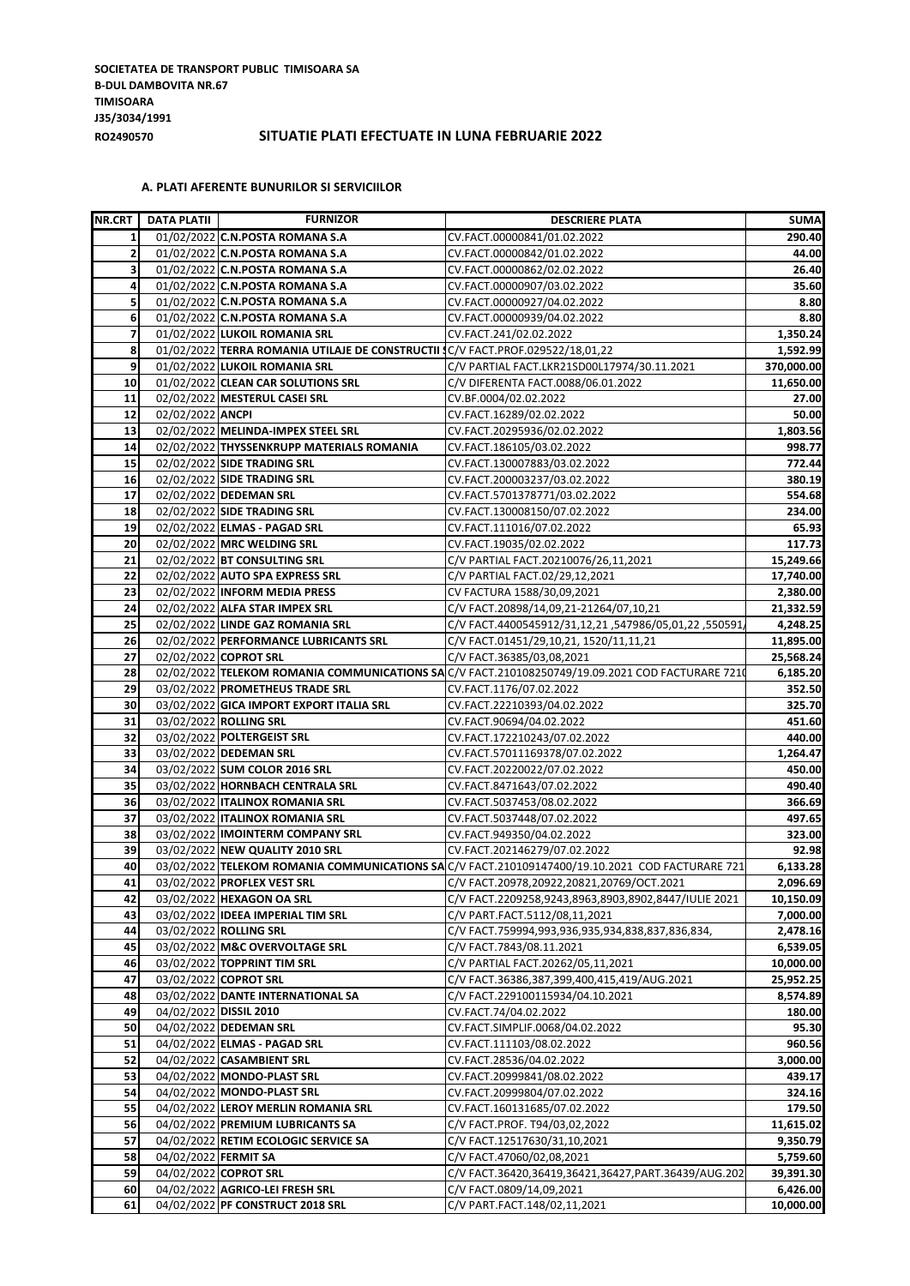## **RO2490570 SITUATIE PLATI EFECTUATE IN LUNA FEBRUARIE 2022**

## **A. PLATI AFERENTE BUNURILOR SI SERVICIILOR**

| NR.CRT                  | <b>DATA PLATII</b>     | <b>FURNIZOR</b>                                                                | <b>DESCRIERE PLATA</b>                                                                           | <b>SUMA</b> |
|-------------------------|------------------------|--------------------------------------------------------------------------------|--------------------------------------------------------------------------------------------------|-------------|
| 1                       |                        | 01/02/2022 C.N.POSTA ROMANA S.A                                                | CV.FACT.00000841/01.02.2022                                                                      | 290.40      |
| $\overline{\mathbf{2}}$ |                        | 01/02/2022 C.N.POSTA ROMANA S.A                                                | CV.FACT.00000842/01.02.2022                                                                      | 44.00       |
| 3                       |                        | 01/02/2022 C.N.POSTA ROMANA S.A                                                | CV.FACT.00000862/02.02.2022                                                                      | 26.40       |
| 4                       |                        | 01/02/2022 C.N.POSTA ROMANA S.A                                                | CV.FACT.00000907/03.02.2022                                                                      | 35.60       |
| 5                       |                        | 01/02/2022 C.N.POSTA ROMANA S.A                                                | CV.FACT.00000927/04.02.2022                                                                      | 8.80        |
| 6                       |                        | 01/02/2022 C.N.POSTA ROMANA S.A                                                | CV.FACT.00000939/04.02.2022                                                                      | 8.80        |
| $\overline{\mathbf{z}}$ |                        |                                                                                | CV.FACT.241/02.02.2022                                                                           | 1,350.24    |
| 8                       |                        | 01/02/2022 LUKOIL ROMANIA SRL                                                  |                                                                                                  |             |
|                         |                        | 01/02/2022 TERRA ROMANIA UTILAJE DE CONSTRUCTII SC/V FACT.PROF.029522/18,01,22 |                                                                                                  | 1,592.99    |
| 9                       |                        | 01/02/2022 LUKOIL ROMANIA SRL                                                  | C/V PARTIAL FACT.LKR21SD00L17974/30.11.2021                                                      | 370,000.00  |
| 10                      |                        | 01/02/2022 CLEAN CAR SOLUTIONS SRL                                             | C/V DIFERENTA FACT.0088/06.01.2022                                                               | 11,650.00   |
| 11                      |                        | 02/02/2022 MESTERUL CASEI SRL                                                  | CV.BF.0004/02.02.2022                                                                            | 27.00       |
| 12                      | 02/02/2022 ANCPI       |                                                                                | CV.FACT.16289/02.02.2022                                                                         | 50.00       |
| 13                      |                        | 02/02/2022 MELINDA-IMPEX STEEL SRL                                             | CV.FACT.20295936/02.02.2022                                                                      | 1,803.56    |
| 14                      |                        | 02/02/2022 THYSSENKRUPP MATERIALS ROMANIA                                      | CV.FACT.186105/03.02.2022                                                                        | 998.77      |
| 15                      |                        | 02/02/2022 SIDE TRADING SRL                                                    | CV.FACT.130007883/03.02.2022                                                                     | 772.44      |
| 16                      |                        | 02/02/2022 SIDE TRADING SRL                                                    | CV.FACT.200003237/03.02.2022                                                                     | 380.19      |
| 17                      |                        | 02/02/2022 DEDEMAN SRL                                                         | CV.FACT.5701378771/03.02.2022                                                                    | 554.68      |
| 18                      |                        | 02/02/2022 SIDE TRADING SRL                                                    | CV.FACT.130008150/07.02.2022                                                                     | 234.00      |
| 19                      |                        | 02/02/2022 ELMAS - PAGAD SRL                                                   | CV.FACT.111016/07.02.2022                                                                        | 65.93       |
| 20                      |                        | 02/02/2022 MRC WELDING SRL                                                     | CV.FACT.19035/02.02.2022                                                                         | 117.73      |
| 21                      |                        | 02/02/2022 BT CONSULTING SRL                                                   | C/V PARTIAL FACT.20210076/26,11,2021                                                             | 15,249.66   |
| 22                      |                        | 02/02/2022 AUTO SPA EXPRESS SRL                                                | C/V PARTIAL FACT.02/29,12,2021                                                                   | 17,740.00   |
| 23                      |                        | 02/02/2022 INFORM MEDIA PRESS                                                  | CV FACTURA 1588/30,09,2021                                                                       | 2,380.00    |
| 24                      |                        | 02/02/2022 ALFA STAR IMPEX SRL                                                 | C/V FACT.20898/14,09,21-21264/07,10,21                                                           | 21,332.59   |
| 25                      |                        | 02/02/2022 LINDE GAZ ROMANIA SRL                                               | C/V FACT.4400545912/31,12,21,547986/05,01,22,550591,                                             | 4,248.25    |
| 26                      |                        | 02/02/2022 PERFORMANCE LUBRICANTS SRL                                          | C/V FACT.01451/29,10,21, 1520/11,11,21                                                           | 11,895.00   |
| 27                      |                        | 02/02/2022 COPROT SRL                                                          | C/V FACT.36385/03,08,2021                                                                        | 25,568.24   |
| 28                      |                        |                                                                                | 02/02/2022 TELEKOM ROMANIA COMMUNICATIONS SA C/V FACT.210108250749/19.09.2021 COD FACTURARE 7210 | 6,185.20    |
| 29                      |                        | 03/02/2022 PROMETHEUS TRADE SRL                                                | CV.FACT.1176/07.02.2022                                                                          | 352.50      |
| 30                      |                        | 03/02/2022 GICA IMPORT EXPORT ITALIA SRL                                       | CV.FACT.22210393/04.02.2022                                                                      | 325.70      |
| 31                      |                        | 03/02/2022 ROLLING SRL                                                         | CV.FACT.90694/04.02.2022                                                                         | 451.60      |
| 32                      |                        | 03/02/2022   POLTERGEIST SRL                                                   | CV.FACT.172210243/07.02.2022                                                                     | 440.00      |
| 33                      |                        | 03/02/2022 DEDEMAN SRL                                                         | CV.FACT.57011169378/07.02.2022                                                                   | 1,264.47    |
| 34                      |                        | 03/02/2022 SUM COLOR 2016 SRL                                                  | CV.FACT.20220022/07.02.2022                                                                      | 450.00      |
| 35                      |                        | 03/02/2022 HORNBACH CENTRALA SRL                                               | CV.FACT.8471643/07.02.2022                                                                       | 490.40      |
| 36                      |                        | 03/02/2022   ITALINOX ROMANIA SRL                                              | CV.FACT.5037453/08.02.2022                                                                       | 366.69      |
| 37                      |                        | 03/02/2022   ITALINOX ROMANIA SRL                                              | CV.FACT.5037448/07.02.2022                                                                       | 497.65      |
| 38                      |                        | 03/02/2022 IMOINTERM COMPANY SRL                                               | CV.FACT.949350/04.02.2022                                                                        | 323.00      |
| 39                      |                        | 03/02/2022 NEW QUALITY 2010 SRL                                                | CV.FACT.202146279/07.02.2022                                                                     | 92.98       |
| 40                      |                        |                                                                                | 03/02/2022 TELEKOM ROMANIA COMMUNICATIONS SAC/V FACT.210109147400/19.10.2021 COD FACTURARE 721   | 6,133.28    |
| 41                      |                        | 03/02/2022 PROFLEX VEST SRL                                                    | C/V FACT.20978,20922,20821,20769/OCT.2021                                                        | 2,096.69    |
| 42                      |                        | 03/02/2022 HEXAGON OA SRL                                                      | C/V FACT.2209258,9243,8963,8903,8902,8447/IULIE 2021                                             | 10,150.09   |
| 43                      |                        | 03/02/2022 IDEEA IMPERIAL TIM SRL                                              | C/V PART.FACT.5112/08,11,2021                                                                    | 7,000.00    |
| 44                      |                        | 03/02/2022 ROLLING SRL                                                         | C/V FACT.759994,993,936,935,934,838,837,836,834,                                                 | 2,478.16    |
| 45                      |                        | 03/02/2022 M&C OVERVOLTAGE SRL                                                 | C/V FACT.7843/08.11.2021                                                                         | 6,539.05    |
| 46                      |                        | 03/02/2022 TOPPRINT TIM SRL                                                    | C/V PARTIAL FACT.20262/05,11,2021                                                                | 10,000.00   |
| 47                      |                        | 03/02/2022 COPROT SRL                                                          | C/V FACT.36386,387,399,400,415,419/AUG.2021                                                      | 25,952.25   |
| 48                      |                        | 03/02/2022 DANTE INTERNATIONAL SA                                              | C/V FACT.229100115934/04.10.2021                                                                 | 8,574.89    |
| 49                      | 04/02/2022 DISSIL 2010 |                                                                                | CV.FACT.74/04.02.2022                                                                            | 180.00      |
| 50                      |                        | 04/02/2022 DEDEMAN SRL                                                         | CV.FACT.SIMPLIF.0068/04.02.2022                                                                  | 95.30       |
| 51                      |                        | 04/02/2022 ELMAS - PAGAD SRL                                                   | CV.FACT.111103/08.02.2022                                                                        | 960.56      |
| 52                      |                        | 04/02/2022 CASAMBIENT SRL                                                      | CV.FACT.28536/04.02.2022                                                                         | 3,000.00    |
| 53                      |                        | 04/02/2022 MONDO-PLAST SRL                                                     | CV.FACT.20999841/08.02.2022                                                                      | 439.17      |
| 54                      |                        | 04/02/2022 MONDO-PLAST SRL                                                     | CV.FACT.20999804/07.02.2022                                                                      | 324.16      |
| 55                      |                        | 04/02/2022 LEROY MERLIN ROMANIA SRL                                            | CV.FACT.160131685/07.02.2022                                                                     | 179.50      |
| 56                      |                        | 04/02/2022 PREMIUM LUBRICANTS SA                                               | C/V FACT.PROF. T94/03,02,2022                                                                    | 11,615.02   |
| 57                      |                        | 04/02/2022 RETIM ECOLOGIC SERVICE SA                                           | C/V FACT.12517630/31,10,2021                                                                     | 9,350.79    |
| 58                      | 04/02/2022 FERMIT SA   |                                                                                | C/V FACT.47060/02,08,2021                                                                        | 5,759.60    |
| 59                      |                        | 04/02/2022 COPROT SRL                                                          | C/V FACT.36420,36419,36421,36427,PART.36439/AUG.202                                              | 39,391.30   |
| 60                      |                        | 04/02/2022 AGRICO-LEI FRESH SRL                                                | C/V FACT.0809/14,09,2021                                                                         | 6,426.00    |
| 61                      |                        | 04/02/2022 PF CONSTRUCT 2018 SRL                                               | C/V PART.FACT.148/02,11,2021                                                                     | 10,000.00   |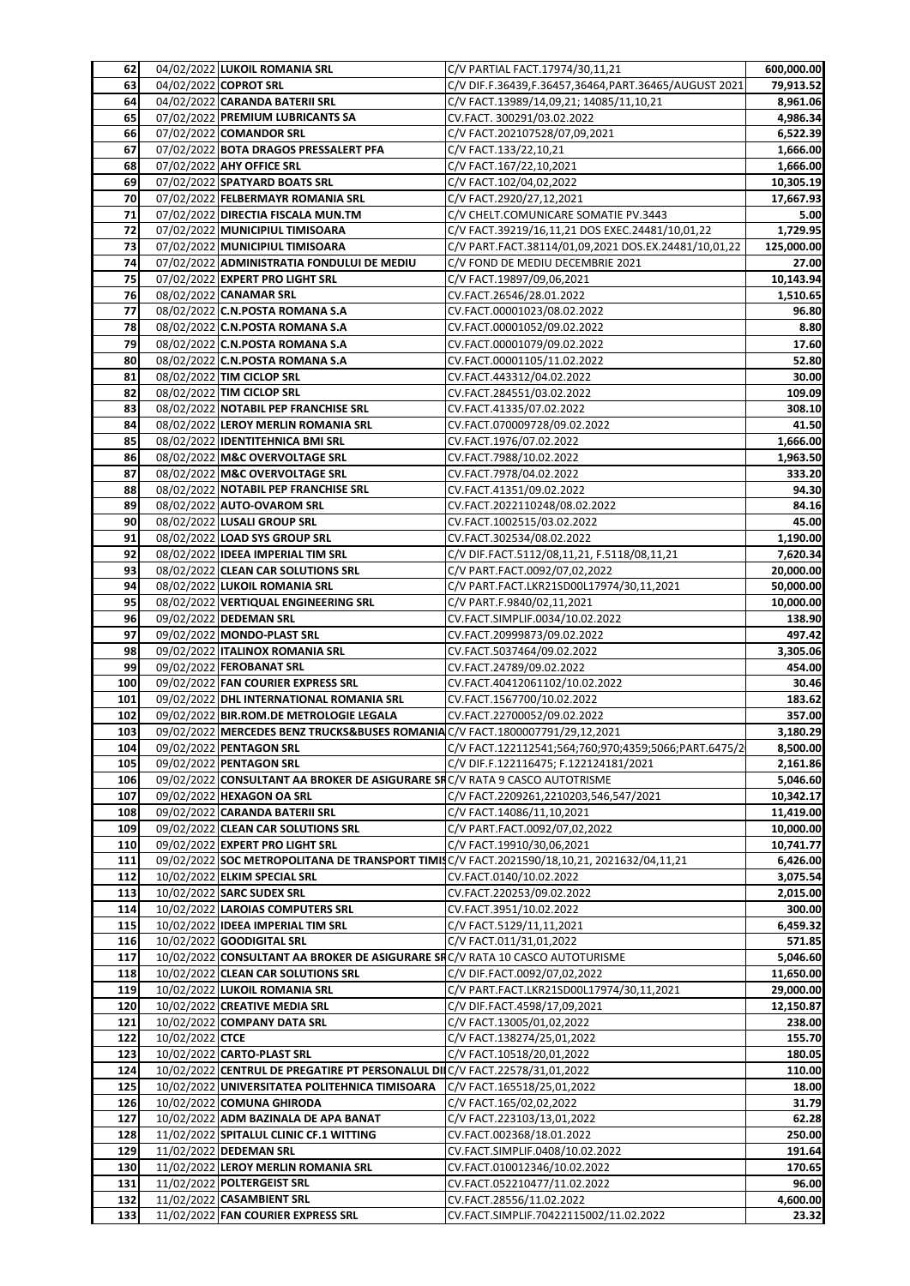| 62  |                 | 04/02/2022 LUKOIL ROMANIA SRL                                                | C/V PARTIAL FACT.17974/30,11,21                                                            | 600,000.00 |
|-----|-----------------|------------------------------------------------------------------------------|--------------------------------------------------------------------------------------------|------------|
| 63  |                 | 04/02/2022 COPROT SRL                                                        | C/V DIF.F.36439,F.36457,36464,PART.36465/AUGUST 2021                                       | 79,913.52  |
| 64  |                 | 04/02/2022 CARANDA BATERII SRL                                               | C/V FACT.13989/14,09,21; 14085/11,10,21                                                    | 8,961.06   |
| 65  |                 | 07/02/2022 PREMIUM LUBRICANTS SA                                             | CV.FACT. 300291/03.02.2022                                                                 | 4,986.34   |
| 66  |                 | 07/02/2022 COMANDOR SRL                                                      | C/V FACT.202107528/07,09,2021                                                              | 6,522.39   |
| 67  |                 | 07/02/2022 BOTA DRAGOS PRESSALERT PFA                                        | C/V FACT.133/22,10,21                                                                      | 1,666.00   |
| 68  |                 | 07/02/2022 AHY OFFICE SRL                                                    | C/V FACT.167/22,10,2021                                                                    | 1,666.00   |
| 69  |                 | 07/02/2022 SPATYARD BOATS SRL                                                |                                                                                            |            |
|     |                 |                                                                              | C/V FACT.102/04,02,2022                                                                    | 10,305.19  |
| 70  |                 | 07/02/2022 FELBERMAYR ROMANIA SRL                                            | C/V FACT.2920/27,12,2021                                                                   | 17,667.93  |
| 71  |                 | 07/02/2022 DIRECTIA FISCALA MUN.TM                                           | C/V CHELT.COMUNICARE SOMATIE PV.3443                                                       | 5.00       |
| 72  |                 | 07/02/2022 MUNICIPIUL TIMISOARA                                              | C/V FACT.39219/16,11,21 DOS EXEC.24481/10,01,22                                            | 1,729.95   |
| 73  |                 | 07/02/2022 MUNICIPIUL TIMISOARA                                              | C/V PART.FACT.38114/01,09,2021 DOS.EX.24481/10,01,22                                       | 125,000.00 |
| 74  |                 | 07/02/2022 ADMINISTRATIA FONDULUI DE MEDIU                                   | C/V FOND DE MEDIU DECEMBRIE 2021                                                           | 27.00      |
| 75  |                 | 07/02/2022 EXPERT PRO LIGHT SRL                                              | C/V FACT.19897/09,06,2021                                                                  | 10,143.94  |
| 76  |                 | 08/02/2022 CANAMAR SRL                                                       | CV.FACT.26546/28.01.2022                                                                   | 1,510.65   |
| 77  |                 | 08/02/2022 C.N.POSTA ROMANA S.A                                              | CV.FACT.00001023/08.02.2022                                                                | 96.80      |
| 78  |                 | 08/02/2022 C.N.POSTA ROMANA S.A                                              | CV.FACT.00001052/09.02.2022                                                                | 8.80       |
| 79  |                 | 08/02/2022 C.N.POSTA ROMANA S.A                                              | CV.FACT.00001079/09.02.2022                                                                | 17.60      |
|     |                 |                                                                              |                                                                                            |            |
| 80  |                 | 08/02/2022 C.N.POSTA ROMANA S.A                                              | CV.FACT.00001105/11.02.2022                                                                | 52.80      |
| 81  |                 | 08/02/2022 TIM CICLOP SRL                                                    | CV.FACT.443312/04.02.2022                                                                  | 30.00      |
| 82  |                 | 08/02/2022 TIM CICLOP SRL                                                    | CV.FACT.284551/03.02.2022                                                                  | 109.09     |
| 83  |                 | 08/02/2022 NOTABIL PEP FRANCHISE SRL                                         | CV.FACT.41335/07.02.2022                                                                   | 308.10     |
| 84  |                 | 08/02/2022 LEROY MERLIN ROMANIA SRL                                          | CV.FACT.070009728/09.02.2022                                                               | 41.50      |
| 85  |                 | 08/02/2022 IDENTITEHNICA BMI SRL                                             | CV.FACT.1976/07.02.2022                                                                    | 1,666.00   |
| 86  |                 | 08/02/2022 M&C OVERVOLTAGE SRL                                               | CV.FACT.7988/10.02.2022                                                                    | 1,963.50   |
| 87  |                 | 08/02/2022 M&C OVERVOLTAGE SRL                                               | CV.FACT.7978/04.02.2022                                                                    | 333.20     |
| 88  |                 | 08/02/2022 NOTABIL PEP FRANCHISE SRL                                         | CV.FACT.41351/09.02.2022                                                                   | 94.30      |
| 89  |                 | 08/02/2022 AUTO-OVAROM SRL                                                   | CV.FACT.2022110248/08.02.2022                                                              | 84.16      |
|     |                 |                                                                              |                                                                                            |            |
| 90  |                 | 08/02/2022 LUSALI GROUP SRL                                                  | CV.FACT.1002515/03.02.2022                                                                 | 45.00      |
| 91  |                 | 08/02/2022 LOAD SYS GROUP SRL                                                | CV.FACT.302534/08.02.2022                                                                  | 1,190.00   |
| 92  |                 | 08/02/2022 IDEEA IMPERIAL TIM SRL                                            | C/V DIF.FACT.5112/08,11,21, F.5118/08,11,21                                                | 7,620.34   |
| 93  |                 | 08/02/2022 CLEAN CAR SOLUTIONS SRL                                           | C/V PART.FACT.0092/07,02,2022                                                              | 20,000.00  |
| 94  |                 | 08/02/2022 LUKOIL ROMANIA SRL                                                | C/V PART.FACT.LKR21SD00L17974/30,11,2021                                                   | 50,000.00  |
| 95  |                 | 08/02/2022 VERTIQUAL ENGINEERING SRL                                         | C/V PART.F.9840/02,11,2021                                                                 | 10,000.00  |
| 96  |                 | 09/02/2022 DEDEMAN SRL                                                       | CV.FACT.SIMPLIF.0034/10.02.2022                                                            | 138.90     |
| 97  |                 | 09/02/2022 MONDO-PLAST SRL                                                   | CV.FACT.20999873/09.02.2022                                                                | 497.42     |
| 98  |                 | 09/02/2022   ITALINOX ROMANIA SRL                                            | CV.FACT.5037464/09.02.2022                                                                 | 3,305.06   |
| 99  |                 | 09/02/2022 FEROBANAT SRL                                                     | CV.FACT.24789/09.02.2022                                                                   | 454.00     |
| 100 |                 | 09/02/2022 FAN COURIER EXPRESS SRL                                           | CV.FACT.40412061102/10.02.2022                                                             | 30.46      |
| 101 |                 | 09/02/2022 DHL INTERNATIONAL ROMANIA SRL                                     | CV.FACT.1567700/10.02.2022                                                                 | 183.62     |
|     |                 |                                                                              |                                                                                            |            |
| 102 |                 | 09/02/2022 BIR.ROM.DE METROLOGIE LEGALA                                      | CV.FACT.22700052/09.02.2022                                                                | 357.00     |
| 103 |                 | 09/02/2022 MERCEDES BENZ TRUCKS&BUSES ROMANIA C/V FACT.1800007791/29,12,2021 |                                                                                            | 3,180.29   |
| 104 |                 | 09/02/2022 PENTAGON SRL                                                      | C/V FACT.122112541;564;760;970;4359;5066;PART.6475/2                                       | 8,500.00   |
| 105 |                 | 09/02/2022 PENTAGON SRL                                                      | C/V DIF.F.122116475; F.122124181/2021                                                      | 2,161.86   |
| 106 |                 | 09/02/2022 CONSULTANT AA BROKER DE ASIGURARE SRC/V RATA 9 CASCO AUTOTRISME   |                                                                                            | 5,046.60   |
| 107 |                 | 09/02/2022 HEXAGON OA SRL                                                    | C/V FACT.2209261,2210203,546,547/2021                                                      | 10,342.17  |
| 108 |                 | 09/02/2022 CARANDA BATERII SRL                                               | C/V FACT.14086/11,10,2021                                                                  | 11,419.00  |
| 109 |                 | 09/02/2022 CLEAN CAR SOLUTIONS SRL                                           | C/V PART.FACT.0092/07,02,2022                                                              | 10,000.00  |
| 110 |                 | 09/02/2022 EXPERT PRO LIGHT SRL                                              | C/V FACT.19910/30,06,2021                                                                  | 10,741.77  |
| 111 |                 |                                                                              | 09/02/2022 SOC METROPOLITANA DE TRANSPORT TIMISC/V FACT.2021590/18,10,21, 2021632/04,11,21 | 6,426.00   |
| 112 |                 | 10/02/2022 ELKIM SPECIAL SRL                                                 | CV.FACT.0140/10.02.2022                                                                    | 3,075.54   |
| 113 |                 | 10/02/2022 SARC SUDEX SRL                                                    | CV.FACT.220253/09.02.2022                                                                  | 2,015.00   |
|     |                 |                                                                              |                                                                                            |            |
| 114 |                 | 10/02/2022 LAROIAS COMPUTERS SRL                                             | CV.FACT.3951/10.02.2022                                                                    | 300.00     |
| 115 |                 | 10/02/2022 IDEEA IMPERIAL TIM SRL                                            | C/V FACT.5129/11,11,2021                                                                   | 6,459.32   |
| 116 |                 | 10/02/2022 GOODIGITAL SRL                                                    | C/V FACT.011/31,01,2022                                                                    | 571.85     |
| 117 |                 | 10/02/2022 CONSULTANT AA BROKER DE ASIGURARE SRC/V RATA 10 CASCO AUTOTURISME |                                                                                            | 5,046.60   |
| 118 |                 | 10/02/2022 CLEAN CAR SOLUTIONS SRL                                           | C/V DIF.FACT.0092/07,02,2022                                                               | 11,650.00  |
| 119 |                 | 10/02/2022 LUKOIL ROMANIA SRL                                                | C/V PART.FACT.LKR21SD00L17974/30,11,2021                                                   | 29,000.00  |
| 120 |                 | 10/02/2022 CREATIVE MEDIA SRL                                                | C/V DIF.FACT.4598/17,09,2021                                                               | 12,150.87  |
| 121 |                 | 10/02/2022 COMPANY DATA SRL                                                  | C/V FACT.13005/01,02,2022                                                                  | 238.00     |
| 122 | 10/02/2022 CTCE |                                                                              | C/V FACT.138274/25,01,2022                                                                 | 155.70     |
| 123 |                 | 10/02/2022 CARTO-PLAST SRL                                                   | C/V FACT.10518/20,01,2022                                                                  | 180.05     |
| 124 |                 | 10/02/2022 CENTRUL DE PREGATIRE PT PERSONALUL DIIC/V FACT.22578/31,01,2022   |                                                                                            | 110.00     |
| 125 |                 | 10/02/2022 UNIVERSITATEA POLITEHNICA TIMISOARA                               | C/V FACT.165518/25,01,2022                                                                 | 18.00      |
|     |                 |                                                                              |                                                                                            |            |
| 126 |                 | 10/02/2022 COMUNA GHIRODA                                                    | C/V FACT.165/02,02,2022                                                                    | 31.79      |
| 127 |                 | 10/02/2022 ADM BAZINALA DE APA BANAT                                         | C/V FACT.223103/13,01,2022                                                                 | 62.28      |
| 128 |                 | 11/02/2022 SPITALUL CLINIC CF.1 WITTING                                      | CV.FACT.002368/18.01.2022                                                                  | 250.00     |
| 129 |                 | 11/02/2022 DEDEMAN SRL                                                       | CV.FACT.SIMPLIF.0408/10.02.2022                                                            | 191.64     |
| 130 |                 | 11/02/2022 LEROY MERLIN ROMANIA SRL                                          | CV.FACT.010012346/10.02.2022                                                               | 170.65     |
| 131 |                 | 11/02/2022 POLTERGEIST SRL                                                   | CV.FACT.052210477/11.02.2022                                                               | 96.00      |
| 132 |                 | 11/02/2022 CASAMBIENT SRL                                                    | CV.FACT.28556/11.02.2022                                                                   | 4,600.00   |
| 133 |                 | 11/02/2022 FAN COURIER EXPRESS SRL                                           | CV.FACT.SIMPLIF.70422115002/11.02.2022                                                     | 23.32      |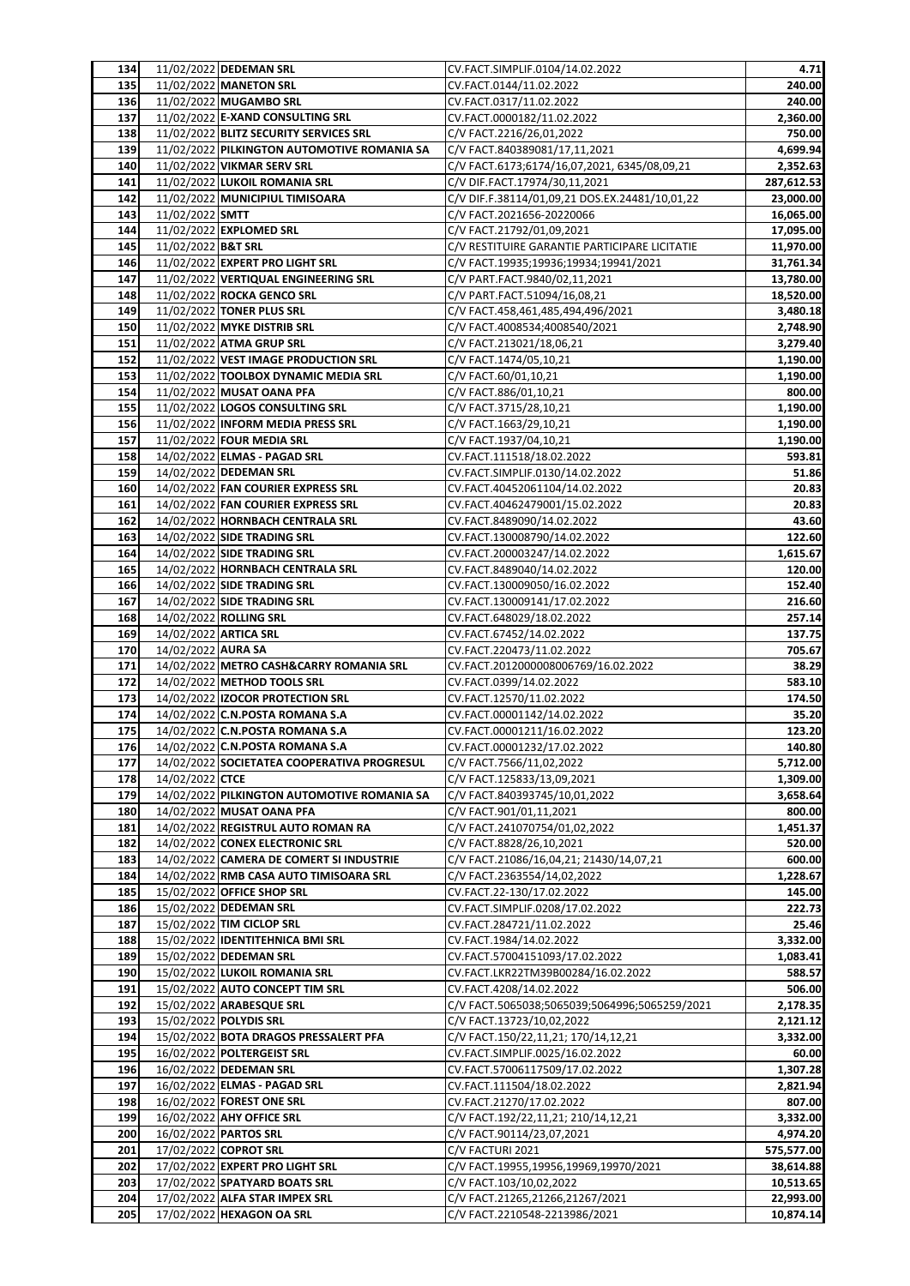| 134 |                    | 11/02/2022 DEDEMAN SRL                      | CV.FACT.SIMPLIF.0104/14.02.2022                | 4.71       |
|-----|--------------------|---------------------------------------------|------------------------------------------------|------------|
| 135 |                    | 11/02/2022 MANETON SRL                      | CV.FACT.0144/11.02.2022                        | 240.00     |
| 136 |                    | 11/02/2022 MUGAMBO SRL                      | CV.FACT.0317/11.02.2022                        | 240.00     |
| 137 |                    | 11/02/2022 E-XAND CONSULTING SRL            | CV.FACT.0000182/11.02.2022                     | 2,360.00   |
| 138 |                    | 11/02/2022 BLITZ SECURITY SERVICES SRL      | C/V FACT.2216/26,01,2022                       | 750.00     |
| 139 |                    | 11/02/2022 PILKINGTON AUTOMOTIVE ROMANIA SA | C/V FACT.840389081/17,11,2021                  | 4,699.94   |
| 140 |                    | 11/02/2022 VIKMAR SERV SRL                  | C/V FACT.6173;6174/16,07,2021, 6345/08,09,21   | 2,352.63   |
| 141 |                    | 11/02/2022 LUKOIL ROMANIA SRL               | C/V DIF.FACT.17974/30,11,2021                  | 287,612.53 |
| 142 |                    | 11/02/2022 MUNICIPIUL TIMISOARA             | C/V DIF.F.38114/01,09,21 DOS.EX.24481/10,01,22 | 23,000.00  |
| 143 | 11/02/2022 SMTT    |                                             | C/V FACT.2021656-20220066                      | 16,065.00  |
| 144 |                    | 11/02/2022 EXPLOMED SRL                     | C/V FACT.21792/01,09,2021                      | 17,095.00  |
| 145 | 11/02/2022 B&T SRL |                                             | C/V RESTITUIRE GARANTIE PARTICIPARE LICITATIE  | 11,970.00  |
| 146 |                    | 11/02/2022 EXPERT PRO LIGHT SRL             | C/V FACT.19935;19936;19934;19941/2021          | 31,761.34  |
| 147 |                    | 11/02/2022 VERTIQUAL ENGINEERING SRL        | C/V PART.FACT.9840/02,11,2021                  | 13,780.00  |
| 148 |                    | 11/02/2022 ROCKA GENCO SRL                  | C/V PART.FACT.51094/16,08,21                   | 18,520.00  |
| 149 |                    | 11/02/2022 TONER PLUS SRL                   | C/V FACT.458,461,485,494,496/2021              | 3,480.18   |
| 150 |                    | 11/02/2022 MYKE DISTRIB SRL                 | C/V FACT.4008534;4008540/2021                  | 2,748.90   |
| 151 |                    | 11/02/2022 ATMA GRUP SRL                    | C/V FACT.213021/18,06,21                       | 3,279.40   |
| 152 |                    | 11/02/2022 VEST IMAGE PRODUCTION SRL        | C/V FACT.1474/05,10,21                         | 1,190.00   |
| 153 |                    | 11/02/2022 TOOLBOX DYNAMIC MEDIA SRL        | C/V FACT.60/01,10,21                           | 1,190.00   |
| 154 |                    | 11/02/2022 MUSAT OANA PFA                   | C/V FACT.886/01,10,21                          | 800.00     |
| 155 |                    | 11/02/2022 LOGOS CONSULTING SRL             | C/V FACT.3715/28,10,21                         | 1,190.00   |
| 156 |                    | 11/02/2022 INFORM MEDIA PRESS SRL           | C/V FACT.1663/29,10,21                         | 1,190.00   |
| 157 |                    | 11/02/2022 FOUR MEDIA SRL                   | C/V FACT.1937/04,10,21                         | 1,190.00   |
| 158 |                    | 14/02/2022 ELMAS - PAGAD SRL                | CV.FACT.111518/18.02.2022                      | 593.81     |
| 159 |                    | 14/02/2022 DEDEMAN SRL                      | CV.FACT.SIMPLIF.0130/14.02.2022                | 51.86      |
| 160 |                    | 14/02/2022 FAN COURIER EXPRESS SRL          | CV.FACT.40452061104/14.02.2022                 | 20.83      |
| 161 |                    | 14/02/2022 FAN COURIER EXPRESS SRL          | CV.FACT.40462479001/15.02.2022                 | 20.83      |
| 162 |                    | 14/02/2022 HORNBACH CENTRALA SRL            | CV.FACT.8489090/14.02.2022                     | 43.60      |
| 163 |                    | 14/02/2022 SIDE TRADING SRL                 | CV.FACT.130008790/14.02.2022                   | 122.60     |
| 164 |                    | 14/02/2022 SIDE TRADING SRL                 | CV.FACT.200003247/14.02.2022                   | 1,615.67   |
| 165 |                    | 14/02/2022 HORNBACH CENTRALA SRL            | CV.FACT.8489040/14.02.2022                     | 120.00     |
| 166 |                    | 14/02/2022 SIDE TRADING SRL                 | CV.FACT.130009050/16.02.2022                   | 152.40     |
| 167 |                    | 14/02/2022 SIDE TRADING SRL                 | CV.FACT.130009141/17.02.2022                   | 216.60     |
| 168 |                    | 14/02/2022 ROLLING SRL                      | CV.FACT.648029/18.02.2022                      | 257.14     |
| 169 |                    | 14/02/2022 ARTICA SRL                       | CV.FACT.67452/14.02.2022                       | 137.75     |
| 170 | 14/02/2022 AURA SA |                                             | CV.FACT.220473/11.02.2022                      | 705.67     |
| 171 |                    | 14/02/2022 METRO CASH&CARRY ROMANIA SRL     | CV.FACT.2012000008006769/16.02.2022            | 38.29      |
| 172 |                    | 14/02/2022 METHOD TOOLS SRL                 | CV.FACT.0399/14.02.2022                        | 583.10     |
| 173 |                    | 14/02/2022 IZOCOR PROTECTION SRL            | CV.FACT.12570/11.02.2022                       | 174.50     |
| 174 |                    | 14/02/2022 C.N.POSTA ROMANA S.A             | CV.FACT.00001142/14.02.2022                    | 35.20      |
| 175 |                    | 14/02/2022 C.N.POSTA ROMANA S.A             | CV.FACT.00001211/16.02.2022                    | 123.20     |
| 176 |                    | 14/02/2022 C.N.POSTA ROMANA S.A             | CV.FACT.00001232/17.02.2022                    | 140.80     |
| 177 |                    | 14/02/2022 SOCIETATEA COOPERATIVA PROGRESUL | C/V FACT.7566/11,02,2022                       | 5,712.00   |
| 178 | 14/02/2022 CTCE    |                                             | C/V FACT.125833/13,09,2021                     | 1,309.00   |
| 179 |                    | 14/02/2022 PILKINGTON AUTOMOTIVE ROMANIA SA | C/V FACT.840393745/10,01,2022                  | 3,658.64   |
| 180 |                    | 14/02/2022 MUSAT OANA PFA                   | C/V FACT.901/01,11,2021                        | 800.00     |
| 181 |                    | 14/02/2022 REGISTRUL AUTO ROMAN RA          | C/V FACT.241070754/01,02,2022                  | 1,451.37   |
| 182 |                    | 14/02/2022 CONEX ELECTRONIC SRL             | C/V FACT.8828/26,10,2021                       | 520.00     |
| 183 |                    | 14/02/2022 CAMERA DE COMERT SI INDUSTRIE    | C/V FACT.21086/16,04,21; 21430/14,07,21        | 600.00     |
| 184 |                    | 14/02/2022 RMB CASA AUTO TIMISOARA SRL      | C/V FACT.2363554/14,02,2022                    | 1,228.67   |
| 185 |                    | 15/02/2022 OFFICE SHOP SRL                  | CV.FACT.22-130/17.02.2022                      | 145.00     |
| 186 |                    | 15/02/2022 DEDEMAN SRL                      | CV.FACT.SIMPLIF.0208/17.02.2022                | 222.73     |
| 187 |                    | 15/02/2022 TIM CICLOP SRL                   | CV.FACT.284721/11.02.2022                      | 25.46      |
| 188 |                    | 15/02/2022 IDENTITEHNICA BMI SRL            | CV.FACT.1984/14.02.2022                        | 3,332.00   |
| 189 |                    | 15/02/2022 DEDEMAN SRL                      | CV.FACT.57004151093/17.02.2022                 | 1,083.41   |
| 190 |                    | 15/02/2022 LUKOIL ROMANIA SRL               | CV.FACT.LKR22TM39B00284/16.02.2022             | 588.57     |
| 191 |                    | 15/02/2022 AUTO CONCEPT TIM SRL             | CV.FACT.4208/14.02.2022                        | 506.00     |
| 192 |                    | 15/02/2022 ARABESQUE SRL                    | C/V FACT.5065038;5065039;5064996;5065259/2021  | 2,178.35   |
| 193 |                    | 15/02/2022 POLYDIS SRL                      | C/V FACT.13723/10,02,2022                      | 2,121.12   |
| 194 |                    | 15/02/2022 BOTA DRAGOS PRESSALERT PFA       | C/V FACT.150/22,11,21; 170/14,12,21            | 3,332.00   |
| 195 |                    | 16/02/2022 POLTERGEIST SRL                  | CV.FACT.SIMPLIF.0025/16.02.2022                | 60.00      |
| 196 |                    | 16/02/2022 DEDEMAN SRL                      | CV.FACT.57006117509/17.02.2022                 | 1,307.28   |
| 197 |                    | 16/02/2022 ELMAS - PAGAD SRL                | CV.FACT.111504/18.02.2022                      | 2,821.94   |
| 198 |                    | 16/02/2022 FOREST ONE SRL                   | CV.FACT.21270/17.02.2022                       | 807.00     |
| 199 |                    | 16/02/2022 AHY OFFICE SRL                   | C/V FACT.192/22,11,21; 210/14,12,21            | 3,332.00   |
| 200 |                    | 16/02/2022 PARTOS SRL                       | C/V FACT.90114/23,07,2021                      | 4,974.20   |
| 201 |                    | 17/02/2022 COPROT SRL                       | C/V FACTURI 2021                               | 575,577.00 |
| 202 |                    | 17/02/2022 EXPERT PRO LIGHT SRL             | C/V FACT.19955,19956,19969,19970/2021          | 38,614.88  |
| 203 |                    | 17/02/2022 SPATYARD BOATS SRL               | C/V FACT.103/10,02,2022                        | 10,513.65  |
| 204 |                    | 17/02/2022 ALFA STAR IMPEX SRL              | C/V FACT.21265,21266,21267/2021                | 22,993.00  |
| 205 |                    | 17/02/2022 HEXAGON OA SRL                   | C/V FACT.2210548-2213986/2021                  | 10,874.14  |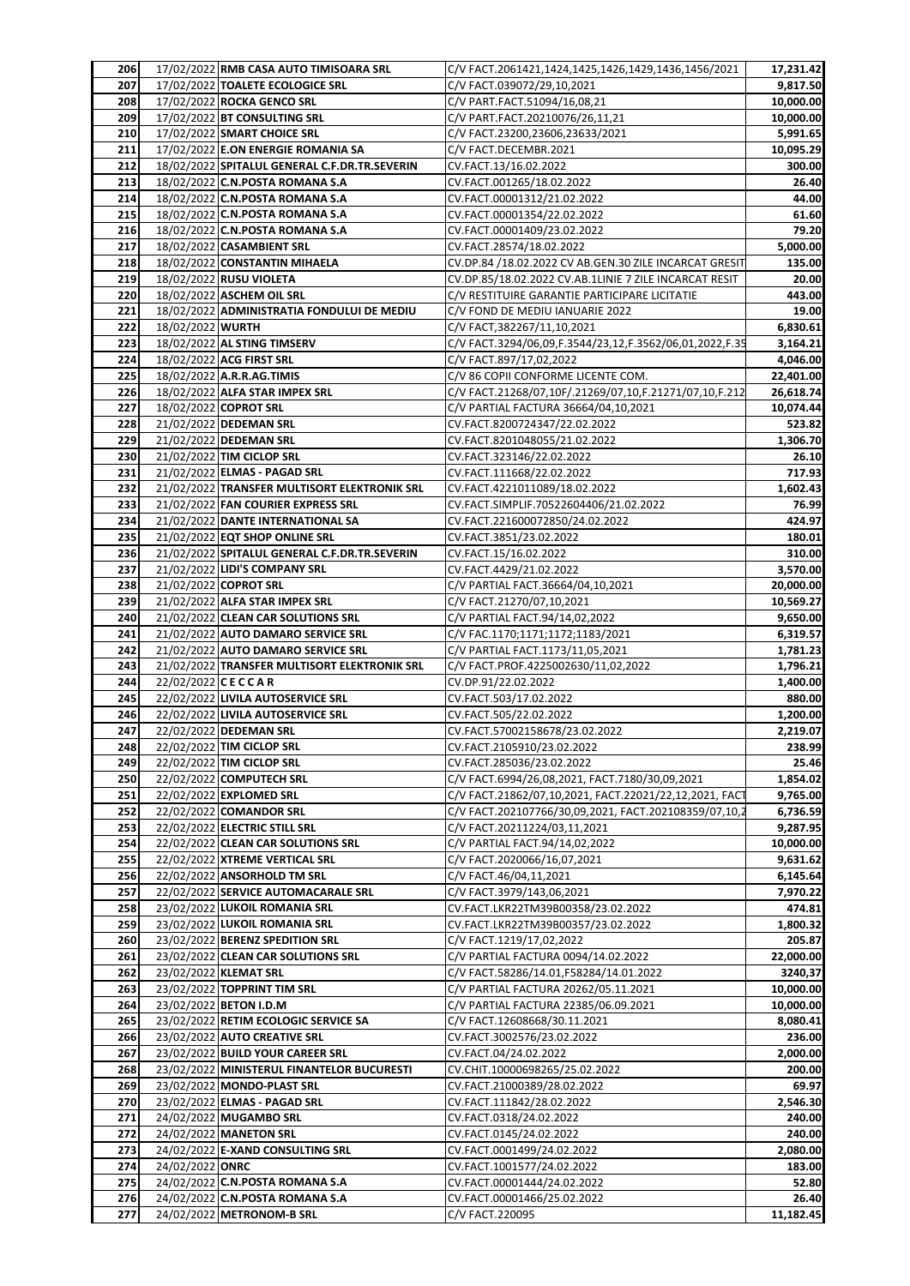| 206 |                     | 17/02/2022 RMB CASA AUTO TIMISOARA SRL        | C/V FACT.2061421,1424,1425,1426,1429,1436,1456/2021     | 17,231.42 |
|-----|---------------------|-----------------------------------------------|---------------------------------------------------------|-----------|
| 207 |                     | 17/02/2022 TOALETE ECOLOGICE SRL              | C/V FACT.039072/29,10,2021                              | 9,817.50  |
| 208 |                     | 17/02/2022 ROCKA GENCO SRL                    | C/V PART.FACT.51094/16,08,21                            | 10,000.00 |
| 209 |                     | 17/02/2022 BT CONSULTING SRL                  | C/V PART.FACT.20210076/26,11,21                         | 10,000.00 |
| 210 |                     | 17/02/2022 SMART CHOICE SRL                   | C/V FACT.23200,23606,23633/2021                         | 5,991.65  |
| 211 |                     | 17/02/2022 E.ON ENERGIE ROMANIA SA            | C/V FACT.DECEMBR.2021                                   | 10.095.29 |
| 212 |                     | 18/02/2022 SPITALUL GENERAL C.F.DR.TR.SEVERIN | CV.FACT.13/16.02.2022                                   | 300.00    |
| 213 |                     | 18/02/2022 C.N.POSTA ROMANA S.A               | CV.FACT.001265/18.02.2022                               | 26.40     |
| 214 |                     | 18/02/2022 C.N.POSTA ROMANA S.A               | CV.FACT.00001312/21.02.2022                             | 44.00     |
| 215 |                     | 18/02/2022 C.N.POSTA ROMANA S.A               | CV.FACT.00001354/22.02.2022                             | 61.60     |
| 216 |                     | 18/02/2022 C.N.POSTA ROMANA S.A               | CV.FACT.00001409/23.02.2022                             | 79.20     |
| 217 |                     | 18/02/2022 CASAMBIENT SRL                     | CV.FACT.28574/18.02.2022                                | 5,000.00  |
| 218 |                     | 18/02/2022 CONSTANTIN MIHAELA                 | CV.DP.84 /18.02.2022 CV AB.GEN.30 ZILE INCARCAT GRESIT  | 135.00    |
| 219 |                     | 18/02/2022 RUSU VIOLETA                       | CV.DP.85/18.02.2022 CV.AB.1LINIE 7 ZILE INCARCAT RESIT  | 20.00     |
| 220 |                     | 18/02/2022 ASCHEM OIL SRL                     | C/V RESTITUIRE GARANTIE PARTICIPARE LICITATIE           | 443.00    |
| 221 |                     | 18/02/2022 ADMINISTRATIA FONDULUI DE MEDIU    | C/V FOND DE MEDIU IANUARIE 2022                         | 19.00     |
| 222 | 18/02/2022 WURTH    |                                               | C/V FACT, 382267/11, 10, 2021                           | 6,830.61  |
| 223 |                     | 18/02/2022 AL STING TIMSERV                   | C/V FACT.3294/06,09,F.3544/23,12,F.3562/06,01,2022,F.35 | 3,164.21  |
| 224 |                     | 18/02/2022 ACG FIRST SRL                      | C/V FACT.897/17,02,2022                                 | 4,046.00  |
| 225 |                     | 18/02/2022 A.R.R.AG.TIMIS                     | C/V 86 COPII CONFORME LICENTE COM.                      | 22,401.00 |
| 226 |                     | 18/02/2022 ALFA STAR IMPEX SRL                | C/V FACT.21268/07,10F/.21269/07,10,F.21271/07,10,F.212  | 26,618.74 |
| 227 |                     | 18/02/2022 COPROT SRL                         | C/V PARTIAL FACTURA 36664/04,10,2021                    | 10,074.44 |
| 228 |                     | 21/02/2022 DEDEMAN SRL                        | CV.FACT.8200724347/22.02.2022                           | 523.82    |
| 229 |                     | 21/02/2022 DEDEMAN SRL                        | CV.FACT.8201048055/21.02.2022                           | 1,306.70  |
| 230 |                     | 21/02/2022 TIM CICLOP SRL                     | CV.FACT.323146/22.02.2022                               | 26.10     |
| 231 |                     | 21/02/2022 ELMAS - PAGAD SRL                  | CV.FACT.111668/22.02.2022                               | 717.93    |
| 232 |                     | 21/02/2022 TRANSFER MULTISORT ELEKTRONIK SRL  | CV.FACT.4221011089/18.02.2022                           | 1,602.43  |
| 233 |                     | 21/02/2022 FAN COURIER EXPRESS SRL            | CV.FACT.SIMPLIF.70522604406/21.02.2022                  | 76.99     |
| 234 |                     | 21/02/2022 DANTE INTERNATIONAL SA             | CV.FACT.221600072850/24.02.2022                         | 424.97    |
| 235 |                     | 21/02/2022 EQT SHOP ONLINE SRL                | CV.FACT.3851/23.02.2022                                 | 180.01    |
| 236 |                     | 21/02/2022 SPITALUL GENERAL C.F.DR.TR.SEVERIN | CV.FACT.15/16.02.2022                                   | 310.00    |
| 237 |                     | 21/02/2022 LIDI'S COMPANY SRL                 | CV.FACT.4429/21.02.2022                                 | 3,570.00  |
| 238 |                     | 21/02/2022 COPROT SRL                         | C/V PARTIAL FACT.36664/04,10,2021                       | 20,000.00 |
| 239 |                     | 21/02/2022 ALFA STAR IMPEX SRL                | C/V FACT.21270/07,10,2021                               | 10,569.27 |
| 240 |                     | 21/02/2022 CLEAN CAR SOLUTIONS SRL            | C/V PARTIAL FACT.94/14,02,2022                          | 9,650.00  |
| 241 |                     | 21/02/2022 AUTO DAMARO SERVICE SRL            | C/V FAC.1170;1171;1172;1183/2021                        | 6,319.57  |
| 242 |                     | 21/02/2022 AUTO DAMARO SERVICE SRL            | C/V PARTIAL FACT.1173/11,05,2021                        | 1,781.23  |
| 243 |                     | 21/02/2022 TRANSFER MULTISORT ELEKTRONIK SRL  | C/V FACT.PROF.4225002630/11,02,2022                     | 1,796.21  |
| 244 | $22/02/2022$ CECCAR |                                               | CV.DP.91/22.02.2022                                     | 1,400.00  |
| 245 |                     | 22/02/2022 LIVILA AUTOSERVICE SRL             | CV.FACT.503/17.02.2022                                  | 880.00    |
| 246 |                     | 22/02/2022 LIVILA AUTOSERVICE SRL             | CV.FACT.505/22.02.2022                                  | 1,200.00  |
| 247 |                     | 22/02/2022 DEDEMAN SRL                        | CV.FACT.57002158678/23.02.2022                          | 2,219.07  |
| 248 |                     | 22/02/2022 TIM CICLOP SRL                     | CV.FACT.2105910/23.02.2022                              | 238.99    |
|     |                     |                                               | CV.FACT.285036/23.02.2022                               | 25.46     |
| 249 |                     | 22/02/2022 TIM CICLOP SRL                     |                                                         |           |
| 250 |                     | 22/02/2022 COMPUTECH SRL                      | C/V FACT.6994/26,08,2021, FACT.7180/30,09,2021          | 1,854.02  |
| 251 |                     | 22/02/2022 EXPLOMED SRL                       | C/V FACT.21862/07,10,2021, FACT.22021/22,12,2021, FACT  | 9,765.00  |
| 252 |                     | 22/02/2022 COMANDOR SRL                       | C/V FACT.202107766/30,09,2021, FACT.202108359/07,10,2   | 6,736.59  |
| 253 |                     | 22/02/2022 ELECTRIC STILL SRL                 | C/V FACT.20211224/03,11,2021                            | 9,287.95  |
| 254 |                     | 22/02/2022 CLEAN CAR SOLUTIONS SRL            | C/V PARTIAL FACT.94/14,02,2022                          | 10,000.00 |
| 255 |                     | 22/02/2022 XTREME VERTICAL SRL                | C/V FACT.2020066/16,07,2021                             | 9,631.62  |
| 256 |                     | 22/02/2022 ANSORHOLD TM SRL                   | C/V FACT.46/04,11,2021                                  | 6,145.64  |
| 257 |                     | 22/02/2022 SERVICE AUTOMACARALE SRL           | C/V FACT.3979/143,06,2021                               | 7,970.22  |
| 258 |                     | 23/02/2022 LUKOIL ROMANIA SRL                 | CV.FACT.LKR22TM39B00358/23.02.2022                      | 474.81    |
| 259 |                     | 23/02/2022 LUKOIL ROMANIA SRL                 | CV.FACT.LKR22TM39B00357/23.02.2022                      | 1,800.32  |
| 260 |                     | 23/02/2022 BERENZ SPEDITION SRL               | C/V FACT.1219/17,02,2022                                | 205.87    |
| 261 |                     | 23/02/2022 CLEAN CAR SOLUTIONS SRL            | C/V PARTIAL FACTURA 0094/14.02.2022                     | 22,000.00 |
| 262 |                     | 23/02/2022 KLEMAT SRL                         | C/V FACT.58286/14.01,F58284/14.01.2022                  | 3240,37   |
| 263 |                     | 23/02/2022 TOPPRINT TIM SRL                   | C/V PARTIAL FACTURA 20262/05.11.2021                    | 10,000.00 |
| 264 |                     | 23/02/2022 BETON I.D.M                        | C/V PARTIAL FACTURA 22385/06.09.2021                    | 10,000.00 |
| 265 |                     | 23/02/2022 RETIM ECOLOGIC SERVICE SA          | C/V FACT.12608668/30.11.2021                            | 8,080.41  |
| 266 |                     | 23/02/2022 AUTO CREATIVE SRL                  | CV.FACT.3002576/23.02.2022                              | 236.00    |
| 267 |                     | 23/02/2022 BUILD YOUR CAREER SRL              | CV.FACT.04/24.02.2022                                   | 2,000.00  |
| 268 |                     | 23/02/2022 MINISTERUL FINANTELOR BUCURESTI    | CV.CHIT.10000698265/25.02.2022                          | 200.00    |
| 269 |                     | 23/02/2022 MONDO-PLAST SRL                    | CV.FACT.21000389/28.02.2022                             | 69.97     |
| 270 |                     | 23/02/2022 ELMAS - PAGAD SRL                  | CV.FACT.111842/28.02.2022                               | 2,546.30  |
| 271 |                     | 24/02/2022 MUGAMBO SRL                        | CV.FACT.0318/24.02.2022                                 | 240.00    |
| 272 |                     | 24/02/2022 MANETON SRL                        | CV.FACT.0145/24.02.2022                                 | 240.00    |
| 273 |                     | 24/02/2022 E-XAND CONSULTING SRL              | CV.FACT.0001499/24.02.2022                              | 2,080.00  |
| 274 | 24/02/2022 ONRC     |                                               | CV.FACT.1001577/24.02.2022                              | 183.00    |
| 275 |                     | 24/02/2022 C.N.POSTA ROMANA S.A               | CV.FACT.00001444/24.02.2022                             | 52.80     |
|     |                     | 24/02/2022 C.N.POSTA ROMANA S.A               | CV.FACT.00001466/25.02.2022                             | 26.40     |
| 276 |                     |                                               |                                                         |           |